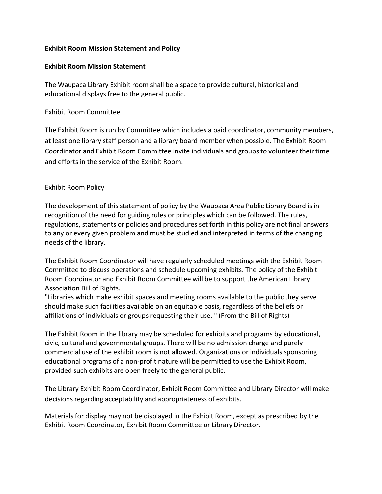## **Exhibit Room Mission Statement and Policy**

## **Exhibit Room Mission Statement**

The Waupaca Library Exhibit room shall be a space to provide cultural, historical and educational displays free to the general public.

## Exhibit Room Committee

The Exhibit Room is run by Committee which includes a paid coordinator, community members, at least one library staff person and a library board member when possible. The Exhibit Room Coordinator and Exhibit Room Committee invite individuals and groups to volunteer their time and efforts in the service of the Exhibit Room.

## Exhibit Room Policy

The development of this statement of policy by the Waupaca Area Public Library Board is in recognition of the need for guiding rules or principles which can be followed. The rules, regulations, statements or policies and procedures set forth in this policy are not final answers to any or every given problem and must be studied and interpreted in terms of the changing needs of the library.

The Exhibit Room Coordinator will have regularly scheduled meetings with the Exhibit Room Committee to discuss operations and schedule upcoming exhibits. The policy of the Exhibit Room Coordinator and Exhibit Room Committee will be to support the American Library Association Bill of Rights.

"Libraries which make exhibit spaces and meeting rooms available to the public they serve should make such facilities available on an equitable basis, regardless of the beliefs or affiliations of individuals or groups requesting their use. " (From the Bill of Rights)

The Exhibit Room in the library may be scheduled for exhibits and programs by educational, civic, cultural and governmental groups. There will be no admission charge and purely commercial use of the exhibit room is not allowed. Organizations or individuals sponsoring educational programs of a non-profit nature will be permitted to use the Exhibit Room, provided such exhibits are open freely to the general public.

The Library Exhibit Room Coordinator, Exhibit Room Committee and Library Director will make decisions regarding acceptability and appropriateness of exhibits.

Materials for display may not be displayed in the Exhibit Room, except as prescribed by the Exhibit Room Coordinator, Exhibit Room Committee or Library Director.